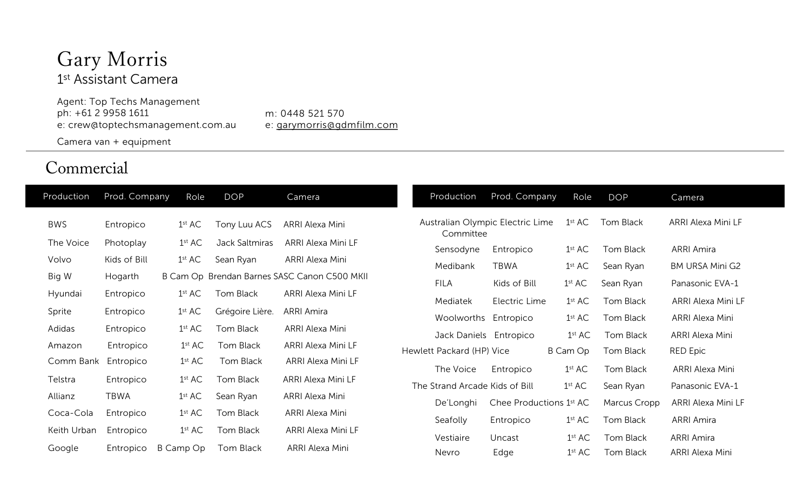### Gary Morris 1<sup>st</sup> Assistant Camera

Agent: Top Techs Management ph: +61 2 9958 1611 e: crew@toptechsmanagement.com.au Camera van + equipment

m: 0448 521 570 [e: garymorris@gdmfilm.com](mailto:garymorris@gdmfilm.com)

#### Commercial

| Production  | Prod. Company | Role               | <b>DOP</b>      | Camera                                       | Production                                    | Prod. Company           | Role               | <b>DOP</b>   | Camera                 |
|-------------|---------------|--------------------|-----------------|----------------------------------------------|-----------------------------------------------|-------------------------|--------------------|--------------|------------------------|
| <b>BWS</b>  | Entropico     | 1 <sup>st</sup> AC | Tony Luu ACS    | ARRI Alexa Mini                              | Australian Olympic Electric Lime<br>Committee |                         | $1$ st $AC$        | Tom Black    | ARRI Alexa Mini LF     |
| The Voice   | Photoplay     | 1 <sup>st</sup> AC | Jack Saltmiras  | ARRI Alexa Mini LF                           | Sensodyne                                     | Entropico               | 1 <sup>st</sup> AC | Tom Black    | <b>ARRI Amira</b>      |
| Volvo       | Kids of Bill  | 1 <sup>st</sup> AC | Sean Ryan       | ARRI Alexa Mini                              | Medibank                                      | <b>TBWA</b>             | 1 <sup>st</sup> AC | Sean Ryan    | <b>BM URSA Mini G2</b> |
| Big W       | Hogarth       |                    |                 | B Cam Op Brendan Barnes SASC Canon C500 MKII | <b>FILA</b>                                   | Kids of Bill            | 1 <sup>st</sup> AC | Sean Ryan    | Panasonic EVA-1        |
| Hyundai     | Entropico     | 1 <sup>st</sup> AC | Tom Black       | ARRI Alexa Mini LF                           |                                               |                         |                    |              |                        |
| Sprite      | Entropico     | 1 <sup>st</sup> AC | Grégoire Lière. | ARRI Amira                                   | Mediatek                                      | Electric Lime           | 1 <sup>st</sup> AC | Tom Black    | ARRI Alexa Mini LF     |
| Adidas      | Entropico     | 1 <sup>st</sup> AC | Tom Black       | ARRI Alexa Mini                              | Woolworths Entropico                          |                         | 1 <sup>st</sup> AC | Tom Black    | ARRI Alexa Mini        |
| Amazon      | Entropico     | 1 <sup>st</sup> AC | Tom Black       | ARRI Alexa Mini LF                           | Jack Daniels Entropico                        |                         | 1 <sup>st</sup> AC | Tom Black    | ARRI Alexa Mini        |
|             |               |                    |                 |                                              | Hewlett Packard (HP) Vice                     |                         | B Cam Op           | Tom Black    | <b>RED Epic</b>        |
| Comm Bank   | Entropico     | 1 <sup>st</sup> AC | Tom Black       | ARRI Alexa Mini LF                           | The Voice                                     | Entropico               | 1 <sup>st</sup> AC | Tom Black    | ARRI Alexa Mini        |
| Telstra     | Entropico     | 1 <sup>st</sup> AC | Tom Black       | ARRI Alexa Mini LF                           | The Strand Arcade Kids of Bill                |                         | 1 <sup>st</sup> AC | Sean Ryan    | Panasonic EVA-1        |
| Allianz     | TBWA          | 1 <sup>st</sup> AC | Sean Ryan       | ARRI Alexa Mini                              | De'Longhi                                     | Chee Productions 1st AC |                    | Marcus Cropp | ARRI Alexa Mini LF     |
| Coca-Cola   | Entropico     | 1 <sup>st</sup> AC | Tom Black       | ARRI Alexa Mini                              |                                               |                         |                    |              |                        |
| Keith Urban | Entropico     | 1 <sup>st</sup> AC | Tom Black       | ARRI Alexa Mini LF                           | Seafolly                                      | Entropico               | 1 <sup>st</sup> AC | Tom Black    | <b>ARRI Amira</b>      |
|             |               |                    |                 |                                              | Vestiaire                                     | Uncast                  | 1 <sup>st</sup> AC | Tom Black    | <b>ARRI Amira</b>      |
| Google      | Entropico     | B Camp Op          | Tom Black       | ARRI Alexa Mini                              | Nevro                                         | Edge                    | 1 <sup>st</sup> AC | Tom Black    | ARRI Alexa Mini        |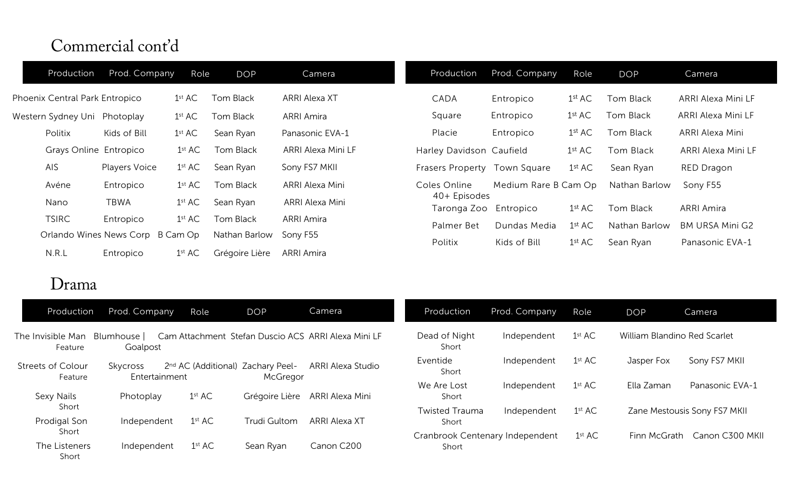### Commercial cont'd

| Production                     | Prod. Company                    | Role               | <b>DOP</b>     | Camera             | Production                            | Prod. Company        | Role               | <b>DOP</b>    | Camera                 |
|--------------------------------|----------------------------------|--------------------|----------------|--------------------|---------------------------------------|----------------------|--------------------|---------------|------------------------|
| Phoenix Central Park Entropico |                                  | 1 <sup>st</sup> AC | Tom Black      | ARRI Alexa XT      | CADA                                  | Entropico            | $1^\mathrm{st}$ AC | Tom Black     | ARRI Alexa Mini LF     |
| Western Sydney Uni Photoplay   |                                  | 1 <sup>st</sup> AC | Tom Black      | <b>ARRI Amira</b>  | Square                                | Entropico            | 1 <sup>st</sup> AC | Tom Black     | ARRI Alexa Mini LF     |
| Politix                        | Kids of Bill                     | 1 <sup>st</sup> AC | Sean Ryan      | Panasonic EVA-1    | Placie                                | Entropico            | 1 <sup>st</sup> AC | Tom Black     | ARRI Alexa Mini        |
| Grays Online Entropico         |                                  | 1 <sup>st</sup> AC | Tom Black      | ARRI Alexa Mini LF | Harley Davidson Caufield              |                      | 1 <sup>st</sup> AC | Tom Black     | ARRI Alexa Mini LF     |
| <b>AIS</b>                     | <b>Players Voice</b>             | $1^{\rm st}$ AC    | Sean Ryan      | Sony FS7 MKII      | <b>Frasers Property</b>               | Town Square          | 1 <sup>st</sup> AC | Sean Ryan     | <b>RED Dragon</b>      |
| Avéne                          | Entropico                        | 1 <sup>st</sup> AC | Tom Black      | ARRI Alexa Mini    | Coles Online                          | Medium Rare B Cam Op |                    | Nathan Barlow | Sony F55               |
| Nano                           | <b>TBWA</b>                      | 1 <sup>st</sup> AC | Sean Ryan      | ARRI Alexa Mini    | 40+ Episodes<br>Taronga Zoo Entropico |                      | 1 <sup>st</sup> AC | Tom Black     | <b>ARRI Amira</b>      |
| <b>TSIRC</b>                   | Entropico                        | 1 <sup>st</sup> AC | Tom Black      | <b>ARRI Amira</b>  | Palmer Bet                            | Dundas Media         | 1 <sup>st</sup> AC | Nathan Barlow | <b>BM URSA Mini G2</b> |
|                                | Orlando Wines News Corp B Cam Op |                    | Nathan Barlow  | Sony F55           | Politix                               | Kids of Bill         | $1^{\rm st}$ AC    | Sean Ryan     | Panasonic EVA-1        |
| N.R.L                          | Entropico                        | 1 <sup>st</sup> AC | Grégoire Lière | ARRI Amira         |                                       |                      |                    |               |                        |

### Drama

| Production                          | Prod. Company             | Role               | <b>DOP</b>                                    | Camera                                              | Production                     | Prod. Company                   | Role               | <b>DOP</b>                   | Camera                       |
|-------------------------------------|---------------------------|--------------------|-----------------------------------------------|-----------------------------------------------------|--------------------------------|---------------------------------|--------------------|------------------------------|------------------------------|
| The Invisible Man<br>Feature        | Blumhouse  <br>Goalpost   |                    |                                               | Cam Attachment Stefan Duscio ACS ARRI Alexa Mini LF | Dead of Night<br>Short         | Independent                     | 1 <sup>st</sup> AC | William Blandino Red Scarlet |                              |
| <b>Streets of Colour</b><br>Feature | Skycross<br>Entertainment |                    | 2nd AC (Additional) Zachary Peel-<br>McGregor | ARRI Alexa Studio                                   | Eventide<br>Short              | Independent                     | 1 <sup>st</sup> AC | Jasper Fox                   | Sony FS7 MKII                |
| Sexy Nails                          | Photoplay                 | 1 <sup>st</sup> AC | Grégoire Lière                                | ARRI Alexa Mini                                     | We Are Lost<br>Short           | Independent                     | 1 <sup>st</sup> AC | Ella Zaman                   | Panasonic EVA-1              |
| Short<br>Prodigal Son               | Independent               | 1 <sup>st</sup> AC | <b>Trudi Gultom</b>                           | ARRI Alexa XT                                       | <b>Twisted Trauma</b><br>Short | Independent                     | 1 <sup>st</sup> AC |                              | Zane Mestousis Sony FS7 MKII |
| Short<br>The Listeners<br>Short     | Independent               | 1 <sup>st</sup> AC | Sean Ryan                                     | Canon C200                                          | Short                          | Cranbrook Centenary Independent | 1 <sup>st</sup> AC | Finn McGrath                 | Canon C300 MKII              |